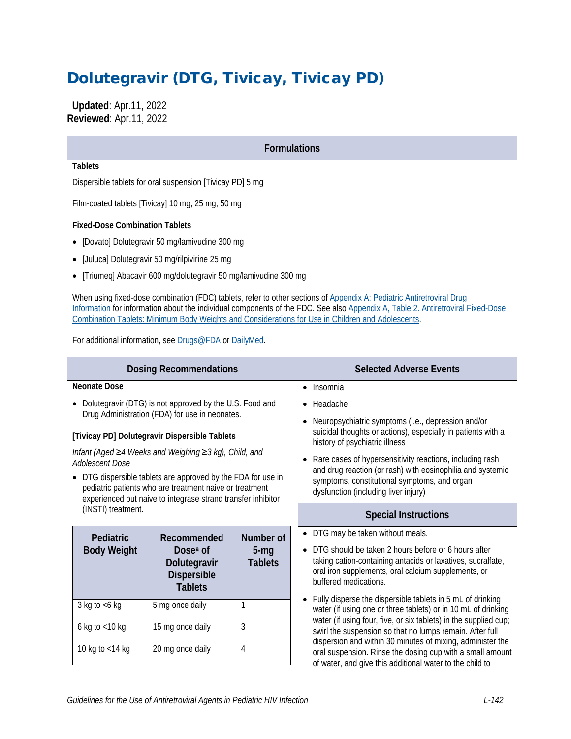# Dolutegravir (DTG, Tivicay, Tivicay PD)

 **Updated**: Apr.11, 2022 **Reviewed**: Apr.11, 2022

| <b>Formulations</b>                                                                                                                                                                                                                                                                                                                                                                                                     |                                                                                             |                                         |                                                                                                                                                                                                                                         |  |  |
|-------------------------------------------------------------------------------------------------------------------------------------------------------------------------------------------------------------------------------------------------------------------------------------------------------------------------------------------------------------------------------------------------------------------------|---------------------------------------------------------------------------------------------|-----------------------------------------|-----------------------------------------------------------------------------------------------------------------------------------------------------------------------------------------------------------------------------------------|--|--|
| <b>Tablets</b>                                                                                                                                                                                                                                                                                                                                                                                                          |                                                                                             |                                         |                                                                                                                                                                                                                                         |  |  |
| Dispersible tablets for oral suspension [Tivicay PD] 5 mg                                                                                                                                                                                                                                                                                                                                                               |                                                                                             |                                         |                                                                                                                                                                                                                                         |  |  |
|                                                                                                                                                                                                                                                                                                                                                                                                                         | Film-coated tablets [Tivicay] 10 mg, 25 mg, 50 mg                                           |                                         |                                                                                                                                                                                                                                         |  |  |
| <b>Fixed-Dose Combination Tablets</b>                                                                                                                                                                                                                                                                                                                                                                                   |                                                                                             |                                         |                                                                                                                                                                                                                                         |  |  |
|                                                                                                                                                                                                                                                                                                                                                                                                                         | • [Dovato] Dolutegravir 50 mg/lamivudine 300 mg                                             |                                         |                                                                                                                                                                                                                                         |  |  |
| $\bullet$                                                                                                                                                                                                                                                                                                                                                                                                               | [Juluca] Dolutegravir 50 mg/rilpivirine 25 mg                                               |                                         |                                                                                                                                                                                                                                         |  |  |
|                                                                                                                                                                                                                                                                                                                                                                                                                         | • [Triumeq] Abacavir 600 mg/dolutegravir 50 mg/lamivudine 300 mg                            |                                         |                                                                                                                                                                                                                                         |  |  |
| When using fixed-dose combination (FDC) tablets, refer to other sections of Appendix A: Pediatric Antiretroviral Drug<br>Information for information about the individual components of the FDC. See also Appendix A, Table 2. Antiretroviral Fixed-Dose<br>Combination Tablets: Minimum Body Weights and Considerations for Use in Children and Adolescents.<br>For additional information, see Drugs@FDA or DailyMed. |                                                                                             |                                         |                                                                                                                                                                                                                                         |  |  |
| <b>Dosing Recommendations</b>                                                                                                                                                                                                                                                                                                                                                                                           |                                                                                             |                                         | <b>Selected Adverse Events</b>                                                                                                                                                                                                          |  |  |
| <b>Neonate Dose</b>                                                                                                                                                                                                                                                                                                                                                                                                     |                                                                                             |                                         | Insomnia<br>$\bullet$                                                                                                                                                                                                                   |  |  |
|                                                                                                                                                                                                                                                                                                                                                                                                                         | • Dolutegravir (DTG) is not approved by the U.S. Food and                                   |                                         | Headache                                                                                                                                                                                                                                |  |  |
| Drug Administration (FDA) for use in neonates.<br>[Tivicay PD] Dolutegravir Dispersible Tablets                                                                                                                                                                                                                                                                                                                         |                                                                                             |                                         | Neuropsychiatric symptoms (i.e., depression and/or<br>suicidal thoughts or actions), especially in patients with a<br>history of psychiatric illness                                                                                    |  |  |
| Adolescent Dose                                                                                                                                                                                                                                                                                                                                                                                                         | Infant (Aged ≥4 Weeks and Weighing ≥3 kg), Child, and                                       |                                         | Rare cases of hypersensitivity reactions, including rash                                                                                                                                                                                |  |  |
| • DTG dispersible tablets are approved by the FDA for use in<br>pediatric patients who are treatment naive or treatment<br>experienced but naive to integrase strand transfer inhibitor                                                                                                                                                                                                                                 |                                                                                             |                                         | and drug reaction (or rash) with eosinophilia and systemic<br>symptoms, constitutional symptoms, and organ<br>dysfunction (including liver injury)                                                                                      |  |  |
| (INSTI) treatment.                                                                                                                                                                                                                                                                                                                                                                                                      |                                                                                             |                                         | <b>Special Instructions</b>                                                                                                                                                                                                             |  |  |
| Pediatric<br><b>Body Weight</b>                                                                                                                                                                                                                                                                                                                                                                                         | Recommended<br>Dose <sup>a</sup> of<br>Dolutegravir<br><b>Dispersible</b><br><b>Tablets</b> | Number of<br>$5 - mg$<br><b>Tablets</b> | • DTG may be taken without meals.<br>DTG should be taken 2 hours before or 6 hours after<br>taking cation-containing antacids or laxatives, sucralfate,<br>oral iron supplements, oral calcium supplements, or<br>buffered medications. |  |  |
| $3$ kg to $<6$ kg                                                                                                                                                                                                                                                                                                                                                                                                       | 5 mg once daily                                                                             | 1                                       | Fully disperse the dispersible tablets in 5 mL of drinking<br>water (if using one or three tablets) or in 10 mL of drinking                                                                                                             |  |  |
| 6 kg to <10 kg                                                                                                                                                                                                                                                                                                                                                                                                          | 15 mg once daily                                                                            | $\mathfrak{Z}$                          | water (if using four, five, or six tablets) in the supplied cup;<br>swirl the suspension so that no lumps remain. After full                                                                                                            |  |  |
| 10 kg to <14 kg                                                                                                                                                                                                                                                                                                                                                                                                         | 20 mg once daily                                                                            | $\overline{4}$                          | dispersion and within 30 minutes of mixing, administer the<br>oral suspension. Rinse the dosing cup with a small amount<br>of water, and give this additional water to the child to                                                     |  |  |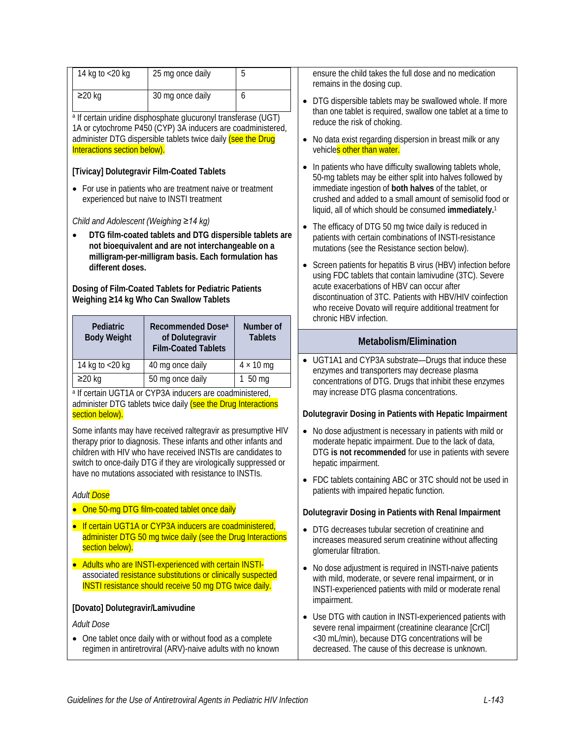| 14 kg to <20 kg                                                                                                        | 25 mg once daily<br>5                                                                                                            |                  | ensu<br>rema             |  |  |
|------------------------------------------------------------------------------------------------------------------------|----------------------------------------------------------------------------------------------------------------------------------|------------------|--------------------------|--|--|
| $\geq$ 20 kg                                                                                                           | 30 mg once daily                                                                                                                 | 6                | <b>DTG</b>               |  |  |
|                                                                                                                        | <sup>a</sup> If certain uridine disphosphate glucuronyl transferase (UGT)                                                        |                  | than<br>redu             |  |  |
|                                                                                                                        | 1A or cytochrome P450 (CYP) 3A inducers are coadministered,                                                                      |                  |                          |  |  |
| Interactions section below).                                                                                           | administer DTG dispersible tablets twice daily (see the Drug                                                                     |                  | No c<br>vehi             |  |  |
|                                                                                                                        | [Tivicay] Dolutegravir Film-Coated Tablets                                                                                       |                  | In pa<br>$50 - n$        |  |  |
| $\bullet$                                                                                                              | For use in patients who are treatment naive or treatment<br>experienced but naive to INSTI treatment                             |                  | imm<br>crus<br>liqui     |  |  |
| Child and Adolescent (Weighing ≥14 kg)                                                                                 |                                                                                                                                  |                  | The                      |  |  |
|                                                                                                                        | DTG film-coated tablets and DTG dispersible tablets are                                                                          |                  | patie                    |  |  |
|                                                                                                                        | not bioequivalent and are not interchangeable on a<br>milligram-per-milligram basis. Each formulation has                        |                  | muta                     |  |  |
| different doses.                                                                                                       |                                                                                                                                  |                  | Scre<br>usin             |  |  |
|                                                                                                                        | Dosing of Film-Coated Tablets for Pediatric Patients                                                                             |                  | acut                     |  |  |
|                                                                                                                        | Weighing ≥14 kg Who Can Swallow Tablets                                                                                          |                  | disc<br>who              |  |  |
| Pediatric                                                                                                              | Recommended Dose <sup>a</sup>                                                                                                    | Number of        | chro                     |  |  |
| <b>Body Weight</b>                                                                                                     | of Dolutegravir                                                                                                                  | <b>Tablets</b>   |                          |  |  |
|                                                                                                                        | <b>Film-Coated Tablets</b>                                                                                                       |                  |                          |  |  |
| 14 kg to <20 kg                                                                                                        | 40 mg once daily                                                                                                                 | $4 \times 10$ mg | <b>UGT</b><br>enzy       |  |  |
| $\geq$ 20 kg                                                                                                           | 50 mg once daily                                                                                                                 | 1 50 mg          | cond                     |  |  |
|                                                                                                                        | a If certain UGT1A or CYP3A inducers are coadministered,                                                                         |                  | may                      |  |  |
| section below).                                                                                                        | administer DTG tablets twice daily (see the Drug Interactions                                                                    |                  | Dolute                   |  |  |
|                                                                                                                        | Some infants may have received raltegravir as presumptive HIV                                                                    |                  | No c                     |  |  |
|                                                                                                                        | therapy prior to diagnosis. These infants and other infants and                                                                  |                  | mod                      |  |  |
|                                                                                                                        | children with HIV who have received INSTIs are candidates to<br>switch to once-daily DTG if they are virologically suppressed or |                  | <b>DTG</b>               |  |  |
|                                                                                                                        | have no mutations associated with resistance to INSTIs.                                                                          |                  | hepa                     |  |  |
| Adult <mark> Dose</mark>                                                                                               |                                                                                                                                  |                  | <b>FDC</b><br>patie      |  |  |
|                                                                                                                        | One 50-mg DTG film-coated tablet once daily                                                                                      |                  | <b>Dolute</b>            |  |  |
| $\bullet$                                                                                                              | If certain UGT1A or CYP3A inducers are coadministered,                                                                           |                  | DTG                      |  |  |
| section below).                                                                                                        | administer DTG 50 mg twice daily (see the Drug Interactions                                                                      |                  | incre<br>glom            |  |  |
|                                                                                                                        | Adults who are INSTI-experienced with certain INSTI-                                                                             |                  | No c                     |  |  |
|                                                                                                                        | associated resistance substitutions or clinically suspected<br><b>INSTI resistance should receive 50 mg DTG twice daily.</b>     |                  | with<br>INS <sub>1</sub> |  |  |
| [Dovato] Dolutegravir/Lamivudine                                                                                       |                                                                                                                                  |                  | impa<br>Use              |  |  |
| Adult Dose                                                                                                             |                                                                                                                                  |                  |                          |  |  |
| One tablet once daily with or without food as a complete<br>regimen in antiretroviral (ARV)-naive adults with no known |                                                                                                                                  |                  |                          |  |  |
|                                                                                                                        |                                                                                                                                  |                  | $30$<br>decr             |  |  |

are the child takes the full dose and no medication ains in the dosing cup.

- If dispersible tablets may be swallowed whole. If more one tablet is required, swallow one tablet at a time to ice the risk of choking.
- data exist regarding dispersion in breast milk or any cle<mark>s other than water.</mark>
- atients who have difficulty swallowing tablets whole, ng tablets may be either split into halves followed by ediate ingestion of **both halves** of the tablet, or hed and added to a small amount of semisolid food or liquid, all of which should be consumed **immediately.** [1](#page-10-0)
- efficacy of DTG 50 mg twice daily is reduced in ents with certain combinations of INSTI-resistance ations (see the Resistance section below).
- een patients for hepatitis B virus (HBV) infection before g FDC tablets that contain lamivudine (3TC). Severe e exacerbations of HBV can occur after ontinuation of 3TC. Patients with HBV/HIV coinfection receive Dovato will require additional treatment for nic HBV infection.

#### **Metabolism/Elimination**

[1A1 and CYP3A substrate—Drugs that induce these ymes and transporters may decrease plasma centrations of DTG. Drugs that inhibit these enzymes increase DTG plasma concentrations.

#### **Dolutegravir Dosing in Patients with Hepatic Impairment**

- tose adjustment is necessary in patients with mild or lerate hepatic impairment. Due to the lack of data, If **is not recommended** for use in patients with severe atic impairment.
- tablets containing ABC or 3TC should not be used in ents with impaired hepatic function.

#### **Dolutegravir Dosing in Patients with Renal Impairment**

- If decreases tubular secretion of creatinine and eases measured serum creatinine without affecting nerular filtration.
- dose adjustment is required in INSTI-naive patients mild, moderate, or severe renal impairment, or in TI-experienced patients with mild or moderate renal airment.
- DTG with caution in INSTI-experienced patients with ere renal impairment (creatinine clearance [CrCl] mL/min), because DTG concentrations will be eased. The cause of this decrease is unknown.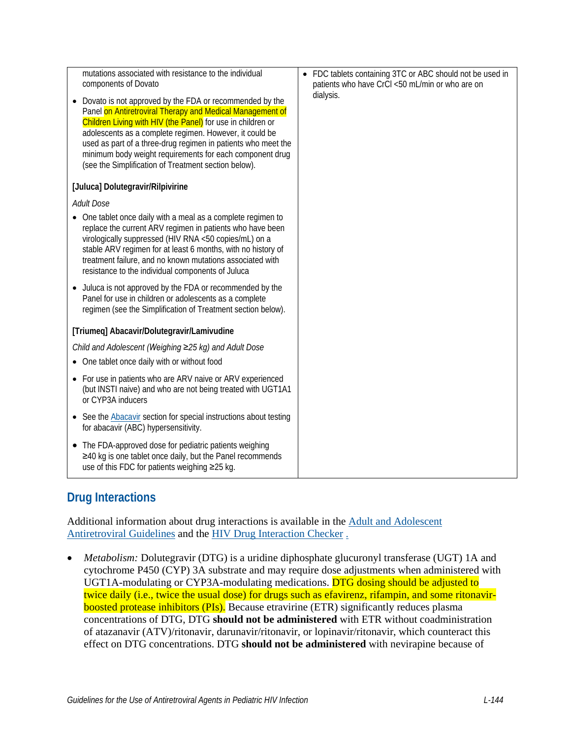| mutations associated with resistance to the individual<br>components of Dovato<br>Dovato is not approved by the FDA or recommended by the<br>Panel on Antiretroviral Therapy and Medical Management of<br>Children Living with HIV (the Panel) for use in children or<br>adolescents as a complete regimen. However, it could be<br>used as part of a three-drug regimen in patients who meet the<br>minimum body weight requirements for each component drug<br>(see the Simplification of Treatment section below). | FDC tablets containing 3TC or ABC should not be used in<br>$\bullet$<br>patients who have CrCl <50 mL/min or who are on<br>dialysis. |
|-----------------------------------------------------------------------------------------------------------------------------------------------------------------------------------------------------------------------------------------------------------------------------------------------------------------------------------------------------------------------------------------------------------------------------------------------------------------------------------------------------------------------|--------------------------------------------------------------------------------------------------------------------------------------|
| [Juluca] Dolutegravir/Rilpivirine                                                                                                                                                                                                                                                                                                                                                                                                                                                                                     |                                                                                                                                      |
| <b>Adult Dose</b>                                                                                                                                                                                                                                                                                                                                                                                                                                                                                                     |                                                                                                                                      |
| • One tablet once daily with a meal as a complete regimen to<br>replace the current ARV regimen in patients who have been<br>virologically suppressed (HIV RNA <50 copies/mL) on a<br>stable ARV regimen for at least 6 months, with no history of<br>treatment failure, and no known mutations associated with<br>resistance to the individual components of Juluca                                                                                                                                                  |                                                                                                                                      |
| Juluca is not approved by the FDA or recommended by the<br>$\bullet$<br>Panel for use in children or adolescents as a complete<br>regimen (see the Simplification of Treatment section below).                                                                                                                                                                                                                                                                                                                        |                                                                                                                                      |
| [Triumeq] Abacavir/Dolutegravir/Lamivudine                                                                                                                                                                                                                                                                                                                                                                                                                                                                            |                                                                                                                                      |
| Child and Adolescent (Weighing ≥25 kg) and Adult Dose                                                                                                                                                                                                                                                                                                                                                                                                                                                                 |                                                                                                                                      |
| One tablet once daily with or without food                                                                                                                                                                                                                                                                                                                                                                                                                                                                            |                                                                                                                                      |
| For use in patients who are ARV naive or ARV experienced<br>(but INSTI naive) and who are not being treated with UGT1A1<br>or CYP3A inducers                                                                                                                                                                                                                                                                                                                                                                          |                                                                                                                                      |
| See the Abacavir section for special instructions about testing<br>$\bullet$<br>for abacavir (ABC) hypersensitivity.                                                                                                                                                                                                                                                                                                                                                                                                  |                                                                                                                                      |
| The FDA-approved dose for pediatric patients weighing<br>$\bullet$<br>≥40 kg is one tablet once daily, but the Panel recommends<br>use of this FDC for patients weighing ≥25 kg.                                                                                                                                                                                                                                                                                                                                      |                                                                                                                                      |

# **Drug Interactions**

Additional information about drug interactions is available in the [Adult and Adolescent](https://clinicalinfo.hiv.gov/en/guidelines/adult-and-adolescent-arv/whats-new-guidelines)  [Antiretroviral Guidelines](https://clinicalinfo.hiv.gov/en/guidelines/adult-and-adolescent-arv/whats-new-guidelines) and the [HIV Drug Interaction Checker](http://www.hiv-druginteractions.org/) .

• *Metabolism:* Dolutegravir (DTG) is a uridine diphosphate glucuronyl transferase (UGT) 1A and cytochrome P450 (CYP) 3A substrate and may require dose adjustments when administered with UGT1A-modulating or CYP3A-modulating medications. DTG dosing should be adjusted to twice daily (i.e., twice the usual dose) for drugs such as efavirenz, rifampin, and some ritonavirboosted protease inhibitors (PIs). Because etravirine (ETR) significantly reduces plasma concentrations of DTG, DTG **should not be administered** with ETR without coadministration of atazanavir (ATV)/ritonavir, darunavir/ritonavir, or lopinavir/ritonavir, which counteract this effect on DTG concentrations. DTG **should not be administered** with nevirapine because of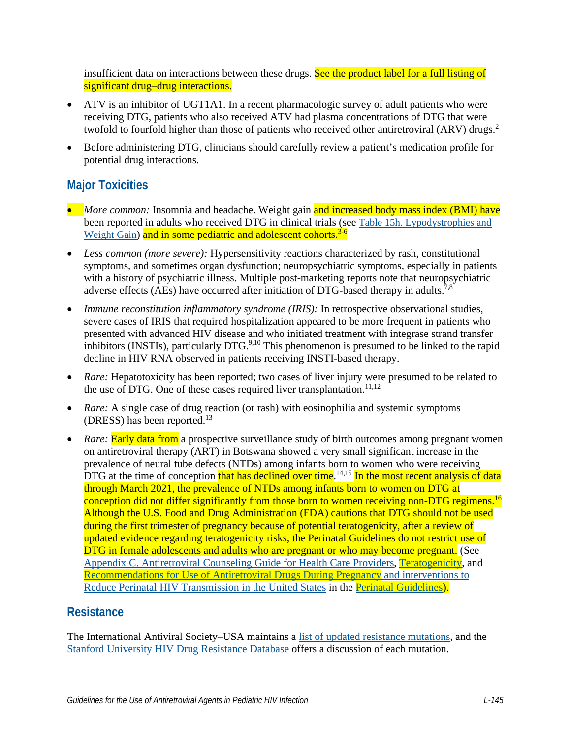insufficient data on interactions between these drugs. See the product label for a full listing of significant drug–drug interactions.

- ATV is an inhibitor of UGT1A1. In a recent pharmacologic survey of adult patients who were receiving DTG, patients who also received ATV had plasma concentrations of DTG that were twofold to fourfold higher than those of patients who received other antiretroviral (ARV) drugs.<sup>[2](#page-10-1)</sup>
- Before administering DTG, clinicians should carefully review a patient's medication profile for potential drug interactions.

### **Major Toxicities**

- *More common:* Insomnia and headache. Weight gain and increased body mass index (BMI) have been reported in adults who received DTG in clinical trials (se[e Table 15h. Lypodystrophies and](https://clinicalinfo.hiv.gov/en/table/table-15h-antiretroviral-therapy-associated-adverse-effects-and-management-recommendations)  [Weight Gain\)](https://clinicalinfo.hiv.gov/en/table/table-15h-antiretroviral-therapy-associated-adverse-effects-and-management-recommendations) and in some pediatric and adolescent cohorts.<sup>[3-6](#page-10-2)</sup>
- *Less common (more severe):* Hypersensitivity reactions characterized by rash, constitutional symptoms, and sometimes organ dysfunction; neuropsychiatric symptoms, especially in patients with a history of psychiatric illness. Multiple post-marketing reports note that neuropsychiatric adverse effects (AEs) have occurred after initiation of DTG-based therapy in adults.<sup>7[,8](#page-10-4)</sup>
- *Immune reconstitution inflammatory syndrome (IRIS):* In retrospective observational studies, severe cases of IRIS that required hospitalization appeared to be more frequent in patients who presented with advanced HIV disease and who initiated treatment with integrase strand transfer inhibitors (INSTIs), particularly DTG.<sup>[9,](#page-10-5)10</sup> This phenomenon is presumed to be linked to the rapid decline in HIV RNA observed in patients receiving INSTI-based therapy.
- *Rare:* Hepatotoxicity has been reported; two cases of liver injury were presumed to be related to the use of DTG. One of these cases required liver transplantation.<sup>[11,](#page-11-0)[12](#page-11-1)</sup>
- *Rare:* A single case of drug reaction (or rash) with eosinophilia and systemic symptoms (DRESS) has been reported.<sup>[13](#page-11-2)</sup>
- *Rare:* Early data from a prospective surveillance study of birth outcomes among pregnant women on antiretroviral therapy (ART) in Botswana showed a very small significant increase in the prevalence of neural tube defects (NTDs) among infants born to women who were receiving DTG at the time of conception that has declined over time.<sup>[14](#page-11-3),15</sup> In the most recent analysis of data through March 2021, the prevalence of NTDs among infants born to women on DTG at conception did not differ significantly from those born to women receiving non-DTG regimens.<sup>16</sup> Although the U.S. Food and Drug Administration (FDA) cautions that DTG should not be used during the first trimester of pregnancy because of potential teratogenicity, after a review of updated evidence regarding teratogenicity risks, the Perinatal Guidelines do not restrict use of DTG in female adolescents and adults who are pregnant or who may become pregnant. (See [Appendix C. Antiretroviral Counseling Guide for Health Care Providers,](https://clinicalinfo.hiv.gov/en/guidelines/pediatric-arv/dolutegravir) [Teratogenicity,](https://clinicalinfo.hiv.gov/en/guidelines/perinatal/teratogenicity) and [Recommendations for Use of Antiretroviral Drugs During Pregnancy and interventions to](https://clinicalinfo.hiv.gov/en/guidelines/perinatal/overview-2?view=full%0D%0A)  [Reduce Perinatal HIV Transmission in the United States](https://clinicalinfo.hiv.gov/en/guidelines/perinatal/overview-2?view=full%0D%0A) in the [Perinatal Guidelines\)](https://clinicalinfo.hiv.gov/en/guidelines/perinatal/whats-new-guidelines?view=full).

### **Resistance**

The International Antiviral Society–USA maintains a [list of updated resistance mutations,](https://www.iasusa.org/resources/hiv-drug-resistance-mutations/) and the [Stanford University HIV Drug Resistance Database](http://hivdb.stanford.edu/DR/) offers a discussion of each mutation.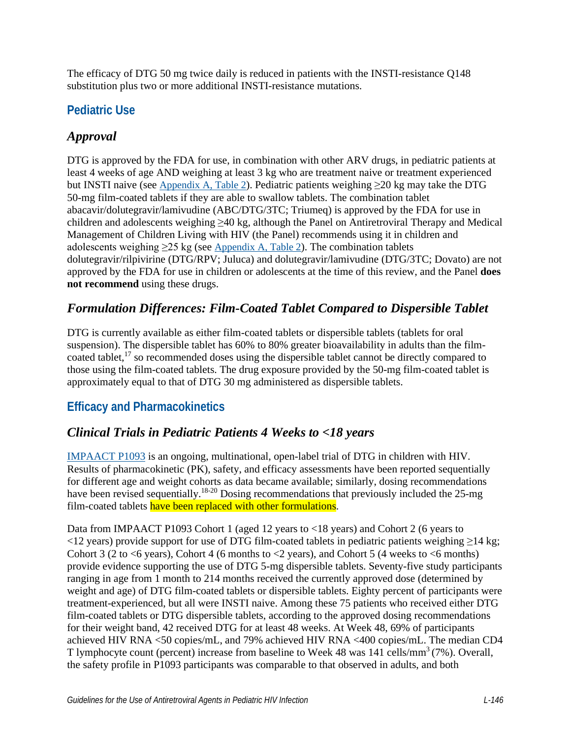The efficacy of DTG 50 mg twice daily is reduced in patients with the INSTI-resistance Q148 substitution plus two or more additional INSTI-resistance mutations.

## **Pediatric Use**

# *Approval*

DTG is approved by the FDA for use, in combination with other ARV drugs, in pediatric patients at least 4 weeks of age AND weighing at least 3 kg who are treatment naive or treatment experienced but INSTI naive (see [Appendix A, Table 2\)](https://clinicalinfo.hiv.gov/en/guidelines/pediatric-arv/appendix-table-2-antiretroviral-fixed-dose-combination-tablets-minimum). Pediatric patients weighing ≥20 kg may take the DTG 50-mg film-coated tablets if they are able to swallow tablets. The combination tablet abacavir/dolutegravir/lamivudine (ABC/DTG/3TC; Triumeq) is approved by the FDA for use in children and adolescents weighing ≥40 kg, although the Panel on Antiretroviral Therapy and Medical Management of Children Living with HIV (the Panel) recommends using it in children and adolescents weighing  $\geq$ 25 kg (see [Appendix A, Table 2\)](https://clinicalinfo.hiv.gov/en/guidelines/pediatric-arv/appendix-table-2-antiretroviral-fixed-dose-combination-tablets-minimum). The combination tablets dolutegravir/rilpivirine (DTG/RPV; Juluca) and dolutegravir/lamivudine (DTG/3TC; Dovato) are not approved by the FDA for use in children or adolescents at the time of this review, and the Panel **does not recommend** using these drugs.

## *Formulation Differences: Film-Coated Tablet Compared to Dispersible Tablet*

DTG is currently available as either film-coated tablets or dispersible tablets (tablets for oral suspension). The dispersible tablet has 60% to 80% greater bioavailability in adults than the filmcoated tablet,<sup>17</sup> so recommended doses using the dispersible tablet cannot be directly compared to those using the film-coated tablets. The drug exposure provided by the 50-mg film-coated tablet is approximately equal to that of DTG 30 mg administered as dispersible tablets.

# **Efficacy and Pharmacokinetics**

### *Clinical Trials in Pediatric Patients 4 Weeks to <18 years*

[IMPAACT P1093](https://www.impaactnetwork.org/studies/p1093) is an ongoing, multinational, open-label trial of DTG in children with HIV. Results of pharmacokinetic (PK), safety, and efficacy assessments have been reported sequentially for different age and weight cohorts as data became available; similarly, dosing recommendations have been revised sequentially.<sup>18-20</sup> Dosing recommendations that previously included the 25-mg film-coated tablets have been replaced with other formulations.

Data from IMPAACT P1093 Cohort 1 (aged 12 years to <18 years) and Cohort 2 (6 years to <12 years) provide support for use of DTG film-coated tablets in pediatric patients weighing ≥14 kg; Cohort 3 (2 to  $\leq$  6 years), Cohort 4 (6 months to  $\leq$  2 years), and Cohort 5 (4 weeks to  $\leq$  6 months) provide evidence supporting the use of DTG 5-mg dispersible tablets. Seventy-five study participants ranging in age from 1 month to 214 months received the currently approved dose (determined by weight and age) of DTG film-coated tablets or dispersible tablets. Eighty percent of participants were treatment-experienced, but all were INSTI naive. Among these 75 patients who received either DTG film-coated tablets or DTG dispersible tablets, according to the approved dosing recommendations for their weight band, 42 received DTG for at least 48 weeks. At Week 48, 69% of participants achieved HIV RNA <50 copies/mL, and 79% achieved HIV RNA <400 copies/mL. The median CD4 T lymphocyte count (percent) increase from baseline to Week 48 was 141 cells/mm<sup>3</sup> (7%). Overall, the safety profile in P1093 participants was comparable to that observed in adults, and both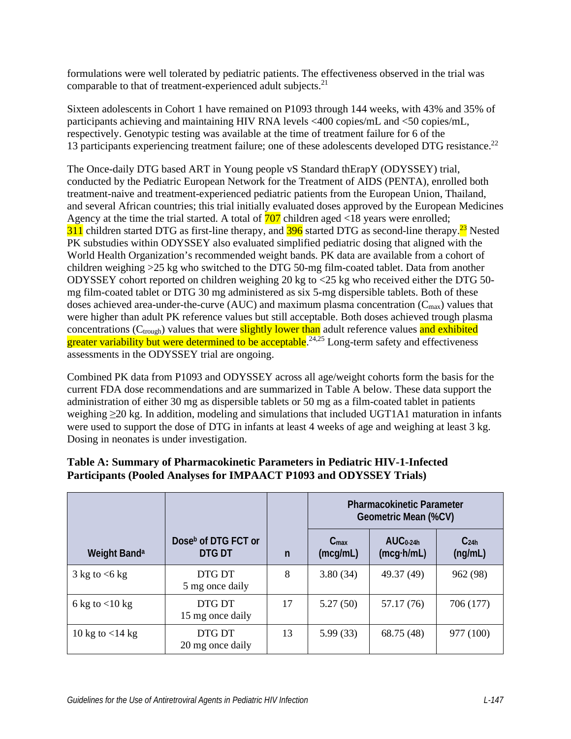formulations were well tolerated by pediatric patients. The effectiveness observed in the trial was comparable to that of treatment-experienced adult subjects.<sup>[21](#page-12-0)</sup>

Sixteen adolescents in Cohort 1 have remained on P1093 through 144 weeks, with 43% and 35% of participants achieving and maintaining HIV RNA levels <400 copies/mL and <50 copies/mL, respectively. Genotypic testing was available at the time of treatment failure for 6 of the 13 participants experiencing treatment failure; one of these adolescents developed DTG resistance.<sup>22</sup>

The Once-daily DTG based ART in Young people vS Standard thErapY (ODYSSEY) trial, conducted by the Pediatric European Network for the Treatment of AIDS (PENTA), enrolled both treatment-naive and treatment-experienced pediatric patients from the European Union, Thailand, and several African countries; this trial initially evaluated doses approved by the European Medicines Agency at the time the trial started. A total of  $\frac{707}{201}$  children aged <18 years were enrolled;  $311$  children started DTG as first-line therapy, and  $396$  started DTG as second-line therapy.<sup>23</sup> Nested PK substudies within ODYSSEY also evaluated simplified pediatric dosing that aligned with the World Health Organization's recommended weight bands. PK data are available from a cohort of children weighing >25 kg who switched to the DTG 50-mg film-coated tablet. Data from another ODYSSEY cohort reported on children weighing 20 kg to <25 kg who received either the DTG 50 mg film-coated tablet or DTG 30 mg administered as six 5-mg dispersible tablets. Both of these doses achieved area-under-the-curve (AUC) and maximum plasma concentration  $(C_{\text{max}})$  values that were higher than adult PK reference values but still acceptable. Both doses achieved trough plasma concentrations (C<sub>trough</sub>) values that were **slightly lower than** adult reference values and exhibited greater variability but were determined to be acceptable.<sup>24,25</sup> Long-term safety and effectiveness assessments in the ODYSSEY trial are ongoing.

Combined PK data from P1093 and ODYSSEY across all age/weight cohorts form the basis for the current FDA dose recommendations and are summarized in Table A below. These data support the administration of either 30 mg as dispersible tablets or 50 mg as a film-coated tablet in patients weighing ≥20 kg. In addition, modeling and simulations that included UGT1A1 maturation in infants were used to support the dose of DTG in infants at least 4 weeks of age and weighing at least 3 kg. Dosing in neonates is under investigation.

|                                      |                                           |              | <b>Pharmacokinetic Parameter</b><br>Geometric Mean (%CV) |                                 |                             |
|--------------------------------------|-------------------------------------------|--------------|----------------------------------------------------------|---------------------------------|-----------------------------|
| Weight Band <sup>a</sup>             | Dose <sup>b</sup> of DTG FCT or<br>DTG DT | $\mathsf{n}$ | $C_{\text{max}}$<br>(mcg/mL)                             | $AUC0-24h$<br>$(mcg\cdot h/mL)$ | C <sub>24h</sub><br>(ng/mL) |
| $3 \text{ kg}$ to $\lt 6 \text{ kg}$ | DTG DT<br>5 mg once daily                 | 8            | 3.80(34)                                                 | 49.37 (49)                      | 962 (98)                    |
| 6 kg to $<$ 10 kg                    | DTG DT<br>15 mg once daily                | 17           | 5.27(50)                                                 | 57.17 (76)                      | 706 (177)                   |
| 10 kg to $<$ 14 kg                   | DTG DT<br>20 mg once daily                | 13           | 5.99(33)                                                 | 68.75 (48)                      | 977 (100)                   |

#### **Table A: Summary of Pharmacokinetic Parameters in Pediatric HIV-1-Infected Participants (Pooled Analyses for IMPAACT P1093 and ODYSSEY Trials)**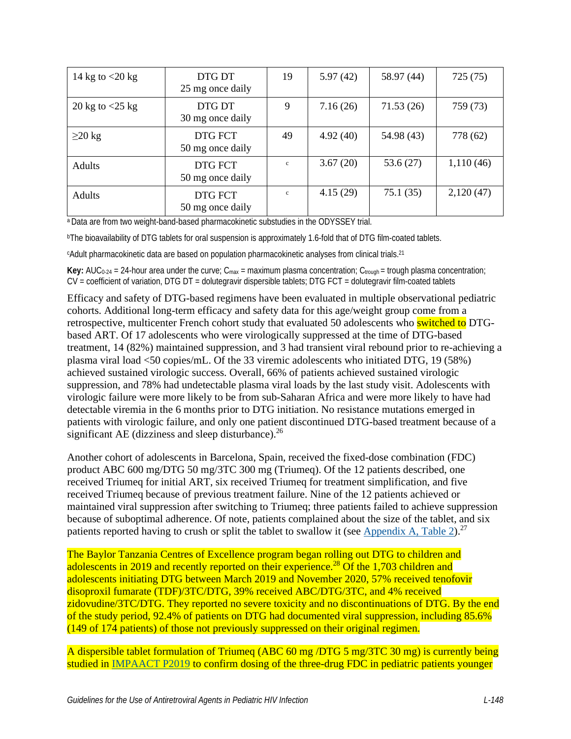| 14 kg to $<$ 20 kg | DTG DT<br>25 mg once daily  | 19           | 5.97(42) | 58.97 (44) | 725 (75)  |
|--------------------|-----------------------------|--------------|----------|------------|-----------|
| 20 kg to $<$ 25 kg | DTG DT<br>30 mg once daily  | 9            | 7.16(26) | 71.53(26)  | 759 (73)  |
| $\geq$ 20 kg       | DTG FCT<br>50 mg once daily | 49           | 4.92(40) | 54.98 (43) | 778 (62)  |
| Adults             | DTG FCT<br>50 mg once daily | $\mathbf{c}$ | 3.67(20) | 53.6(27)   | 1,110(46) |
| Adults             | DTG FCT<br>50 mg once daily | $\mathbf{c}$ | 4.15(29) | 75.1(35)   | 2,120(47) |

a Data are from two weight-band-based pharmacokinetic substudies in the ODYSSEY trial.

bThe bioavailability of DTG tablets for oral suspension is approximately 1.6-fold that of DTG film-coated tablets.

c Adult pharmacokinetic data are based on population pharmacokinetic analyses from clinical trials[.21](#page-12-0)

**Key:** AUC<sub>0-24</sub> = 24-hour area under the curve;  $C_{\text{max}}$  = maximum plasma concentration;  $C_{\text{trough}}$  = trough plasma concentration; CV = coefficient of variation, DTG DT = dolutegravir dispersible tablets; DTG FCT = dolutegravir film-coated tablets

Efficacy and safety of DTG-based regimens have been evaluated in multiple observational pediatric cohorts. Additional long-term efficacy and safety data for this age/weight group come from a retrospective, multicenter French cohort study that evaluated 50 adolescents who switched to DTGbased ART. Of 17 adolescents who were virologically suppressed at the time of DTG-based treatment, 14 (82%) maintained suppression, and 3 had transient viral rebound prior to re-achieving a plasma viral load <50 copies/mL. Of the 33 viremic adolescents who initiated DTG, 19 (58%) achieved sustained virologic success. Overall, 66% of patients achieved sustained virologic suppression, and 78% had undetectable plasma viral loads by the last study visit. Adolescents with virologic failure were more likely to be from sub-Saharan Africa and were more likely to have had detectable viremia in the 6 months prior to DTG initiation. No resistance mutations emerged in patients with virologic failure, and only one patient discontinued DTG-based treatment because of a significant AE (dizziness and sleep disturbance). $^{26}$ 

Another cohort of adolescents in Barcelona, Spain, received the fixed-dose combination (FDC) product ABC 600 mg/DTG 50 mg/3TC 300 mg (Triumeq). Of the 12 patients described, one received Triumeq for initial ART, six received Triumeq for treatment simplification, and five received Triumeq because of previous treatment failure. Nine of the 12 patients achieved or maintained viral suppression after switching to Triumeq; three patients failed to achieve suppression because of suboptimal adherence. Of note, patients complained about the size of the tablet, and six patients reported having to crush or split the tablet to swallow it (see [Appendix A, Table 2\)](https://clinicalinfo.hiv.gov/en/guidelines/pediatric-arv/appendix-table-2-antiretroviral-fixed-dose-combination-tablets-minimum).<sup>27</sup>

The Baylor Tanzania Centres of Excellence program began rolling out DTG to children and adolescents in 2019 and recently reported on their experience.<sup>[28](#page-12-7)</sup> Of the 1,703 children and adolescents initiating DTG between March 2019 and November 2020, 57% received tenofovir disoproxil fumarate (TDF)/3TC/DTG, 39% received ABC/DTG/3TC, and 4% received zidovudine/3TC/DTG. They reported no severe toxicity and no discontinuations of DTG. By the end of the study period, 92.4% of patients on DTG had documented viral suppression, including 85.6% (149 of 174 patients) of those not previously suppressed on their original regimen.

A dispersible tablet formulation of Triumeq (ABC 60 mg /DTG 5 mg/3TC 30 mg) is currently being studied in [IMPAACT P2019](https://www.impaactnetwork.org/studies/impaact2019) to confirm dosing of the three-drug FDC in pediatric patients younger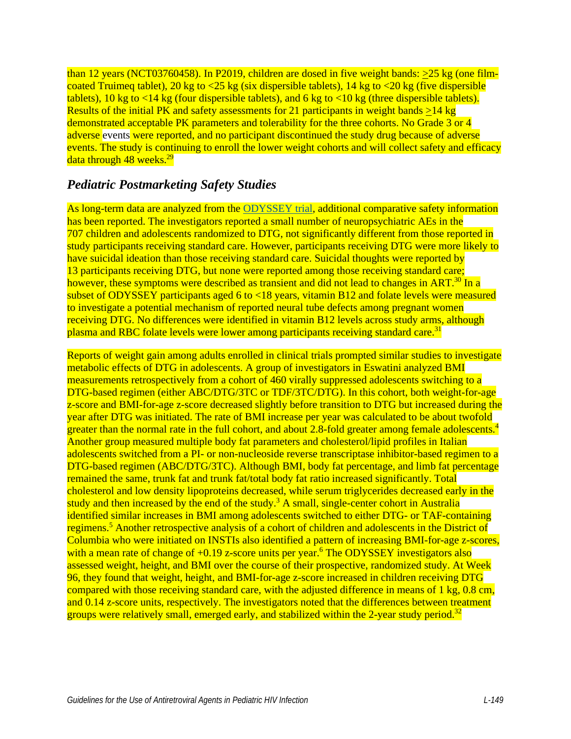than 12 years (NCT03760458). In P2019, children are dosed in five weight bands: >25 kg (one filmcoated Truimeq tablet), 20 kg to  $\langle 25 \text{ kg}$  (six dispersible tablets), 14 kg to  $\langle 20 \text{ kg}$  (five dispersible tablets), 10 kg to  $\langle 14 \text{ kg}$  (four dispersible tablets), and 6 kg to  $\langle 10 \text{ kg}$  (three dispersible tablets). Results of the initial PK and safety assessments for 21 participants in weight bands  $\geq$ 14 kg demonstrated acceptable PK parameters and tolerability for the three cohorts. No Grade 3 or 4 adverse events were reported, and no participant discontinued the study drug because of adverse events. The study is continuing to enroll the lower weight cohorts and will collect safety and efficacy data through  $48$  weeks.<sup>29</sup>

#### *Pediatric Postmarketing Safety Studies*

As long-term data are analyzed from the [ODYSSEY trial,](https://odysseytrial.org/) additional comparative safety information has been reported. The investigators reported a small number of neuropsychiatric AEs in the 707 children and adolescents randomized to DTG, not significantly different from those reported in study participants receiving standard care. However, participants receiving DTG were more likely to have suicidal ideation than those receiving standard care. Suicidal thoughts were reported by 13 participants receiving DTG, but none were reported among those receiving standard care; however, these symptoms were described as transient and did not lead to changes in ART.<sup>30</sup> In a subset of ODYSSEY participants aged 6 to  $\lt 18$  years, vitamin B12 and folate levels were measured to investigate a potential mechanism of reported neural tube defects among pregnant women receiving DTG. No differences were identified in vitamin B12 levels across study arms, although plasma and RBC folate levels were lower among participants receiving standard care.<sup>[31](#page-13-1)</sup>

Reports of weight gain among adults enrolled in clinical trials prompted similar studies to investigate metabolic effects of DTG in adolescents. A group of investigators in Eswatini analyzed BMI measurements retrospectively from a cohort of 460 virally suppressed adolescents switching to a DTG-based regimen (either ABC/DTG/3TC or TDF/3TC/DTG). In this cohort, both weight-for-age z-score and BMI-for-age z-score decreased slightly before transition to DTG but increased during the year after DTG was initiated. The rate of BMI increase per year was calculated to be about twofold greater than the normal rate in the full cohort, and about 2.8-fold greater among female adolescents.<sup>[4](#page-10-7)</sup> Another group measured multiple body fat parameters and cholesterol/lipid profiles in Italian adolescents switched from a PI- or non-nucleoside reverse transcriptase inhibitor-based regimen to a DTG-based regimen (ABC/DTG/3TC). Although BMI, body fat percentage, and limb fat percentage remained the same, trunk fat and trunk fat/total body fat ratio increased significantly. Total cholesterol and low density lipoproteins decreased, while serum triglycerides decreased early in the study and then increased by the end of the study.<sup>3</sup> A small, single-center cohort in Australia identified similar increases in BMI among adolescents switched to either DTG- or TAF-containing regimens.<sup>[5](#page-10-8)</sup> Another retrospective analysis of a cohort of children and adolescents in the District of Columbia who were initiated on INSTIs also identified a pattern of increasing BMI-for-age z-scores, with a mean rate of change of  $+0.19$  z-score units per year.<sup>6</sup> The ODYSSEY investigators also assessed weight, height, and BMI over the course of their prospective, randomized study. At Week 96, they found that weight, height, and BMI-for-age z-score increased in children receiving DTG compared with those receiving standard care, with the adjusted difference in means of 1 kg, 0.8 cm, and 0.14 z-score units, respectively. The investigators noted that the differences between treatment groups were relatively small, emerged early, and stabilized within the 2-year study period.<sup>32</sup>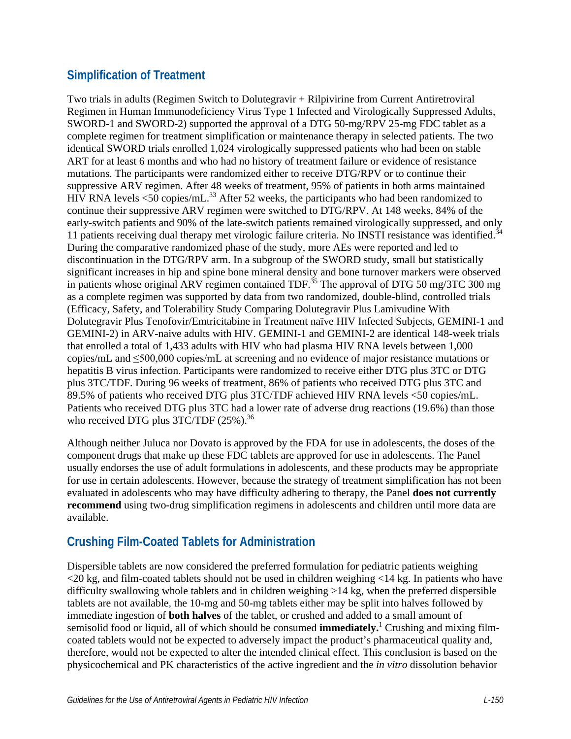# **Simplification of Treatment**

Two trials in adults (Regimen Switch to Dolutegravir + Rilpivirine from Current Antiretroviral Regimen in Human Immunodeficiency Virus Type 1 Infected and Virologically Suppressed Adults, SWORD-1 and SWORD-2) supported the approval of a DTG 50-mg/RPV 25-mg FDC tablet as a complete regimen for treatment simplification or maintenance therapy in selected patients. The two identical SWORD trials enrolled 1,024 virologically suppressed patients who had been on stable ART for at least 6 months and who had no history of treatment failure or evidence of resistance mutations. The participants were randomized either to receive DTG/RPV or to continue their suppressive ARV regimen. After 48 weeks of treatment, 95% of patients in both arms maintained HIV RNA levels  $\leq 50$  copies/mL.<sup>33</sup> After 52 weeks, the participants who had been randomized to continue their suppressive ARV regimen were switched to DTG/RPV. At 148 weeks, 84% of the early-switch patients and 90% of the late-switch patients remained virologically suppressed, and only 11 patients receiving dual therapy met virologic failure criteria. No INSTI resistance was identified.<sup>34</sup> During the comparative randomized phase of the study, more AEs were reported and led to discontinuation in the DTG/RPV arm. In a subgroup of the SWORD study, small but statistically significant increases in hip and spine bone mineral density and bone turnover markers were observed in patients whose original ARV regimen contained TDF.<sup>[35](#page-13-5)</sup> The approval of DTG 50 mg/3TC 300 mg as a complete regimen was supported by data from two randomized, double-blind, controlled trials (Efficacy, Safety, and Tolerability Study Comparing Dolutegravir Plus Lamivudine With Dolutegravir Plus Tenofovir/Emtricitabine in Treatment naïve HIV Infected Subjects, GEMINI-1 and GEMINI-2) in ARV-naive adults with HIV. GEMINI-1 and GEMINI-2 are identical 148-week trials that enrolled a total of 1,433 adults with HIV who had plasma HIV RNA levels between 1,000 copies/mL and ≤500,000 copies/mL at screening and no evidence of major resistance mutations or hepatitis B virus infection. Participants were randomized to receive either DTG plus 3TC or DTG plus 3TC/TDF. During 96 weeks of treatment, 86% of patients who received DTG plus 3TC and 89.5% of patients who received DTG plus 3TC/TDF achieved HIV RNA levels <50 copies/mL. Patients who received DTG plus 3TC had a lower rate of adverse drug reactions (19.6%) than those who received DTG plus 3TC/TDF (25%).<sup>36</sup>

Although neither Juluca nor Dovato is approved by the FDA for use in adolescents, the doses of the component drugs that make up these FDC tablets are approved for use in adolescents. The Panel usually endorses the use of adult formulations in adolescents, and these products may be appropriate for use in certain adolescents. However, because the strategy of treatment simplification has not been evaluated in adolescents who may have difficulty adhering to therapy, the Panel **does not currently recommend** using two-drug simplification regimens in adolescents and children until more data are available.

# **Crushing Film-Coated Tablets for Administration**

Dispersible tablets are now considered the preferred formulation for pediatric patients weighing <20 kg, and film-coated tablets should not be used in children weighing <14 kg. In patients who have difficulty swallowing whole tablets and in children weighing >14 kg, when the preferred dispersible tablets are not available, the 10-mg and 50-mg tablets either may be split into halves followed by immediate ingestion of **both halves** of the tablet, or crushed and added to a small amount of semisolid food or liquid, all of which should be consumed **immediately.**[1](#page-10-0) Crushing and mixing filmcoated tablets would not be expected to adversely impact the product's pharmaceutical quality and, therefore, would not be expected to alter the intended clinical effect. This conclusion is based on the physicochemical and PK characteristics of the active ingredient and the *in vitro* dissolution behavior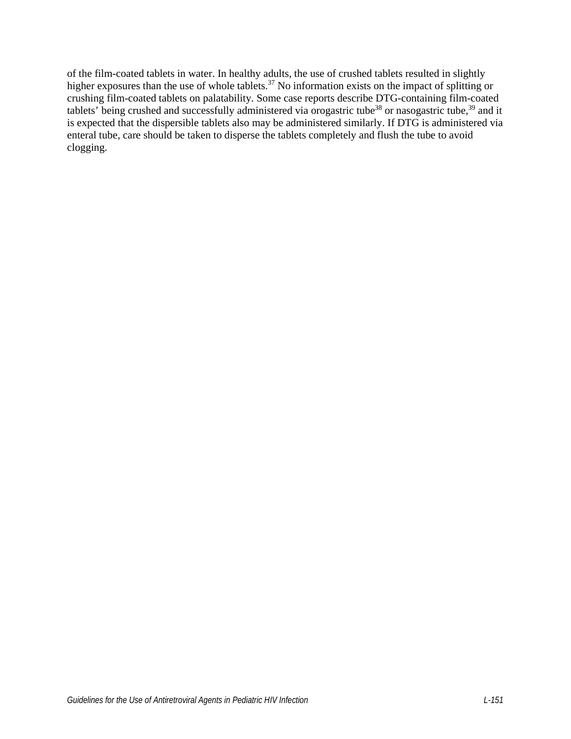of the film-coated tablets in water. In healthy adults, the use of crushed tablets resulted in slightly higher exposures than the use of whole tablets.<sup>37</sup> No information exists on the impact of splitting or crushing film-coated tablets on palatability. Some case reports describe DTG-containing film-coated tablets' being crushed and successfully administered via orogastric tube<sup>38</sup> or nasogastric tube,<sup>[39](#page-13-9)</sup> and it is expected that the dispersible tablets also may be administered similarly. If DTG is administered via enteral tube, care should be taken to disperse the tablets completely and flush the tube to avoid clogging.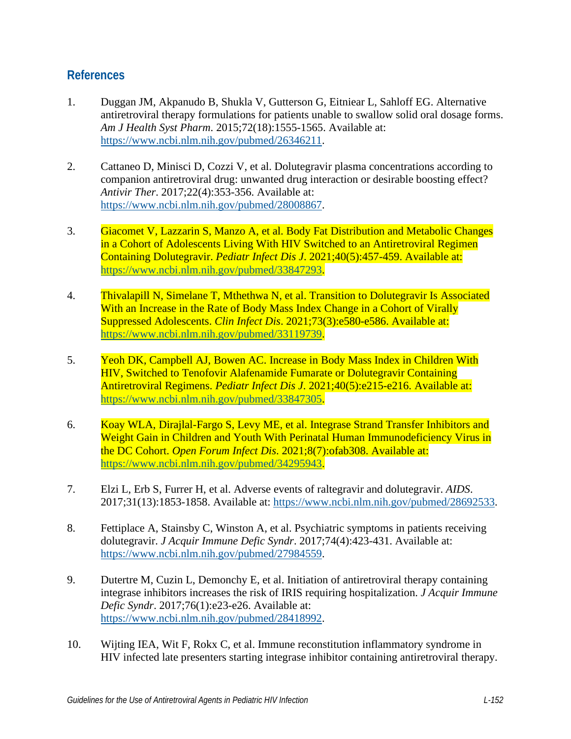#### **References**

- <span id="page-10-0"></span>1. Duggan JM, Akpanudo B, Shukla V, Gutterson G, Eitniear L, Sahloff EG. Alternative antiretroviral therapy formulations for patients unable to swallow solid oral dosage forms. *Am J Health Syst Pharm*. 2015;72(18):1555-1565. Available at: [https://www.ncbi.nlm.nih.gov/pubmed/26346211.](https://www.ncbi.nlm.nih.gov/pubmed/26346211)
- <span id="page-10-1"></span>2. Cattaneo D, Minisci D, Cozzi V, et al. Dolutegravir plasma concentrations according to companion antiretroviral drug: unwanted drug interaction or desirable boosting effect? *Antivir Ther*. 2017;22(4):353-356. Available at: [https://www.ncbi.nlm.nih.gov/pubmed/28008867.](https://www.ncbi.nlm.nih.gov/pubmed/28008867)
- <span id="page-10-2"></span>3. Giacomet V, Lazzarin S, Manzo A, et al. Body Fat Distribution and Metabolic Changes in a Cohort of Adolescents Living With HIV Switched to an Antiretroviral Regimen Containing Dolutegravir. *Pediatr Infect Dis J*. 2021;40(5):457-459. Available at: [https://www.ncbi.nlm.nih.gov/pubmed/33847293.](https://www.ncbi.nlm.nih.gov/pubmed/33847293)
- <span id="page-10-7"></span>4. Thivalapill N, Simelane T, Mthethwa N, et al. Transition to Dolutegravir Is Associated With an Increase in the Rate of Body Mass Index Change in a Cohort of Virally Suppressed Adolescents. *Clin Infect Dis*. 2021;73(3):e580-e586. Available at: [https://www.ncbi.nlm.nih.gov/pubmed/33119739.](https://www.ncbi.nlm.nih.gov/pubmed/33119739)
- <span id="page-10-8"></span>5. Yeoh DK, Campbell AJ, Bowen AC. Increase in Body Mass Index in Children With HIV, Switched to Tenofovir Alafenamide Fumarate or Dolutegravir Containing Antiretroviral Regimens. *Pediatr Infect Dis J*. 2021;40(5):e215-e216. Available at: [https://www.ncbi.nlm.nih.gov/pubmed/33847305.](https://www.ncbi.nlm.nih.gov/pubmed/33847305)
- <span id="page-10-9"></span>6. Koay WLA, Dirajlal-Fargo S, Levy ME, et al. Integrase Strand Transfer Inhibitors and Weight Gain in Children and Youth With Perinatal Human Immunodeficiency Virus in the DC Cohort. *Open Forum Infect Dis*. 2021;8(7):ofab308. Available at: [https://www.ncbi.nlm.nih.gov/pubmed/34295943.](https://www.ncbi.nlm.nih.gov/pubmed/34295943)
- <span id="page-10-3"></span>7. Elzi L, Erb S, Furrer H, et al. Adverse events of raltegravir and dolutegravir. *AIDS*. 2017;31(13):1853-1858. Available at: [https://www.ncbi.nlm.nih.gov/pubmed/28692533.](https://www.ncbi.nlm.nih.gov/pubmed/28692533)
- <span id="page-10-4"></span>8. Fettiplace A, Stainsby C, Winston A, et al. Psychiatric symptoms in patients receiving dolutegravir. *J Acquir Immune Defic Syndr*. 2017;74(4):423-431. Available at: [https://www.ncbi.nlm.nih.gov/pubmed/27984559.](https://www.ncbi.nlm.nih.gov/pubmed/27984559)
- <span id="page-10-5"></span>9. Dutertre M, Cuzin L, Demonchy E, et al. Initiation of antiretroviral therapy containing integrase inhibitors increases the risk of IRIS requiring hospitalization. *J Acquir Immune Defic Syndr*. 2017;76(1):e23-e26. Available at: [https://www.ncbi.nlm.nih.gov/pubmed/28418992.](https://www.ncbi.nlm.nih.gov/pubmed/28418992)
- <span id="page-10-6"></span>10. Wijting IEA, Wit F, Rokx C, et al. Immune reconstitution inflammatory syndrome in HIV infected late presenters starting integrase inhibitor containing antiretroviral therapy.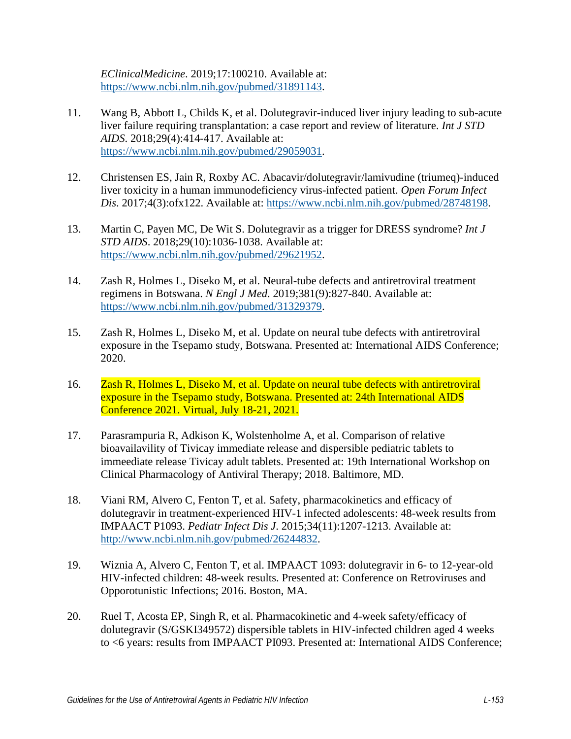*EClinicalMedicine*. 2019;17:100210. Available at: [https://www.ncbi.nlm.nih.gov/pubmed/31891143.](https://www.ncbi.nlm.nih.gov/pubmed/31891143)

- <span id="page-11-0"></span>11. Wang B, Abbott L, Childs K, et al. Dolutegravir-induced liver injury leading to sub-acute liver failure requiring transplantation: a case report and review of literature. *Int J STD AIDS*. 2018;29(4):414-417. Available at: [https://www.ncbi.nlm.nih.gov/pubmed/29059031.](https://www.ncbi.nlm.nih.gov/pubmed/29059031)
- <span id="page-11-1"></span>12. Christensen ES, Jain R, Roxby AC. Abacavir/dolutegravir/lamivudine (triumeq)-induced liver toxicity in a human immunodeficiency virus-infected patient. *Open Forum Infect Dis*. 2017;4(3):ofx122. Available at: [https://www.ncbi.nlm.nih.gov/pubmed/28748198.](https://www.ncbi.nlm.nih.gov/pubmed/28748198)
- <span id="page-11-2"></span>13. Martin C, Payen MC, De Wit S. Dolutegravir as a trigger for DRESS syndrome? *Int J STD AIDS*. 2018;29(10):1036-1038. Available at: [https://www.ncbi.nlm.nih.gov/pubmed/29621952.](https://www.ncbi.nlm.nih.gov/pubmed/29621952)
- <span id="page-11-3"></span>14. Zash R, Holmes L, Diseko M, et al. Neural-tube defects and antiretroviral treatment regimens in Botswana. *N Engl J Med*. 2019;381(9):827-840. Available at: [https://www.ncbi.nlm.nih.gov/pubmed/31329379.](https://www.ncbi.nlm.nih.gov/pubmed/31329379)
- <span id="page-11-4"></span>15. Zash R, Holmes L, Diseko M, et al. Update on neural tube defects with antiretroviral exposure in the Tsepamo study, Botswana. Presented at: International AIDS Conference; 2020.
- <span id="page-11-5"></span>16. Zash R, Holmes L, Diseko M, et al. Update on neural tube defects with antiretroviral exposure in the Tsepamo study, Botswana. Presented at: 24th International AIDS Conference 2021. Virtual, July 18-21, 2021.
- <span id="page-11-6"></span>17. Parasrampuria R, Adkison K, Wolstenholme A, et al. Comparison of relative bioavailavility of Tivicay immediate release and dispersible pediatric tablets to immeediate release Tivicay adult tablets. Presented at: 19th International Workshop on Clinical Pharmacology of Antiviral Therapy; 2018. Baltimore, MD.
- <span id="page-11-7"></span>18. Viani RM, Alvero C, Fenton T, et al. Safety, pharmacokinetics and efficacy of dolutegravir in treatment-experienced HIV-1 infected adolescents: 48-week results from IMPAACT P1093. *Pediatr Infect Dis J*. 2015;34(11):1207-1213. Available at: [http://www.ncbi.nlm.nih.gov/pubmed/26244832.](http://www.ncbi.nlm.nih.gov/pubmed/26244832)
- 19. Wiznia A, Alvero C, Fenton T, et al. IMPAACT 1093: dolutegravir in 6- to 12-year-old HIV-infected children: 48-week results. Presented at: Conference on Retroviruses and Opporotunistic Infections; 2016. Boston, MA.
- 20. Ruel T, Acosta EP, Singh R, et al. Pharmacokinetic and 4-week safety/efficacy of dolutegravir (S/GSKI349572) dispersible tablets in HIV-infected children aged 4 weeks to <6 years: results from IMPAACT PI093. Presented at: International AIDS Conference;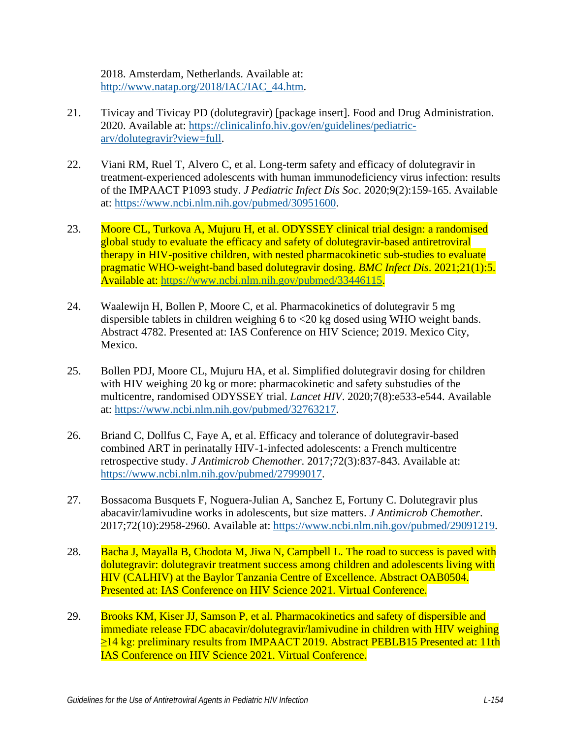2018. Amsterdam, Netherlands. Available at: [http://www.natap.org/2018/IAC/IAC\\_44.htm.](http://www.natap.org/2018/IAC/IAC_44.htm)

- <span id="page-12-0"></span>21. Tivicay and Tivicay PD (dolutegravir) [package insert]. Food and Drug Administration. 2020. Available at: [https://clinicalinfo.hiv.gov/en/guidelines/pediatric](https://clinicalinfo.hiv.gov/en/guidelines/pediatric-arv/dolutegravir?view=full)[arv/dolutegravir?view=full.](https://clinicalinfo.hiv.gov/en/guidelines/pediatric-arv/dolutegravir?view=full)
- <span id="page-12-1"></span>22. Viani RM, Ruel T, Alvero C, et al. Long-term safety and efficacy of dolutegravir in treatment-experienced adolescents with human immunodeficiency virus infection: results of the IMPAACT P1093 study. *J Pediatric Infect Dis Soc*. 2020;9(2):159-165. Available at: [https://www.ncbi.nlm.nih.gov/pubmed/30951600.](https://www.ncbi.nlm.nih.gov/pubmed/30951600)
- <span id="page-12-2"></span>23. Moore CL, Turkova A, Mujuru H, et al. ODYSSEY clinical trial design: a randomised global study to evaluate the efficacy and safety of dolutegravir-based antiretroviral therapy in HIV-positive children, with nested pharmacokinetic sub-studies to evaluate pragmatic WHO-weight-band based dolutegravir dosing. *BMC Infect Dis*. 2021;21(1):5. Available at: [https://www.ncbi.nlm.nih.gov/pubmed/33446115.](https://www.ncbi.nlm.nih.gov/pubmed/33446115)
- <span id="page-12-3"></span>24. Waalewijn H, Bollen P, Moore C, et al. Pharmacokinetics of dolutegravir 5 mg dispersible tablets in children weighing 6 to <20 kg dosed using WHO weight bands. Abstract 4782. Presented at: IAS Conference on HIV Science; 2019. Mexico City, Mexico.
- <span id="page-12-4"></span>25. Bollen PDJ, Moore CL, Mujuru HA, et al. Simplified dolutegravir dosing for children with HIV weighing 20 kg or more: pharmacokinetic and safety substudies of the multicentre, randomised ODYSSEY trial. *Lancet HIV*. 2020;7(8):e533-e544. Available at: [https://www.ncbi.nlm.nih.gov/pubmed/32763217.](https://www.ncbi.nlm.nih.gov/pubmed/32763217)
- <span id="page-12-5"></span>26. Briand C, Dollfus C, Faye A, et al. Efficacy and tolerance of dolutegravir-based combined ART in perinatally HIV-1-infected adolescents: a French multicentre retrospective study. *J Antimicrob Chemother*. 2017;72(3):837-843. Available at: [https://www.ncbi.nlm.nih.gov/pubmed/27999017.](https://www.ncbi.nlm.nih.gov/pubmed/27999017)
- <span id="page-12-6"></span>27. Bossacoma Busquets F, Noguera-Julian A, Sanchez E, Fortuny C. Dolutegravir plus abacavir/lamivudine works in adolescents, but size matters. *J Antimicrob Chemother*. 2017;72(10):2958-2960. Available at: [https://www.ncbi.nlm.nih.gov/pubmed/29091219.](https://www.ncbi.nlm.nih.gov/pubmed/29091219)
- <span id="page-12-7"></span>28. Bacha J, Mayalla B, Chodota M, Jiwa N, Campbell L. The road to success is paved with dolutegravir: dolutegravir treatment success among children and adolescents living with HIV (CALHIV) at the Baylor Tanzania Centre of Excellence. Abstract OAB0504. Presented at: IAS Conference on HIV Science 2021. Virtual Conference.
- <span id="page-12-8"></span>29. Brooks KM, Kiser JJ, Samson P, et al. Pharmacokinetics and safety of dispersible and immediate release FDC abacavir/dolutegravir/lamivudine in children with HIV weighing ≥14 kg: preliminary results from IMPAACT 2019. Abstract PEBLB15 Presented at: 11th IAS Conference on HIV Science 2021. Virtual Conference.